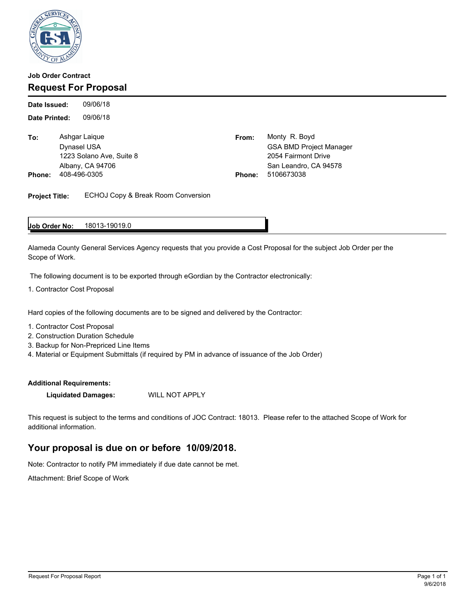

## **Job Order Contract Request For Proposal**

09/06/18 **Date Printed:** 09/06/18 **Date Issued:**

**To:** Ashgar Laique **Phone:** 408-496-0305 **Phone:** 5106673038

From: Monty R. Boyd Dynasel USA GSA BMD Project Manager 1223 Solano Ave, Suite 8 2054 Fairmont Drive Albany, CA 94706 San Leandro, CA 94578

**Project Title:** ECHOJ Copy & Break Room Conversion

#### 18013-19019.0 **Job Order No:**

Alameda County General Services Agency requests that you provide a Cost Proposal for the subject Job Order per the Scope of Work.

The following document is to be exported through eGordian by the Contractor electronically:

1. Contractor Cost Proposal

Hard copies of the following documents are to be signed and delivered by the Contractor:

- 1. Contractor Cost Proposal
- 2. Construction Duration Schedule
- 3. Backup for Non-Prepriced Line Items
- 4. Material or Equipment Submittals (if required by PM in advance of issuance of the Job Order)

### **Additional Requirements:**

**Liquidated Damages:** WILL NOT APPLY

This request is subject to the terms and conditions of JOC Contract: 18013. Please refer to the attached Scope of Work for additional information.

## **Your proposal is due on or before 10/09/2018.**

Note: Contractor to notify PM immediately if due date cannot be met.

Attachment: Brief Scope of Work